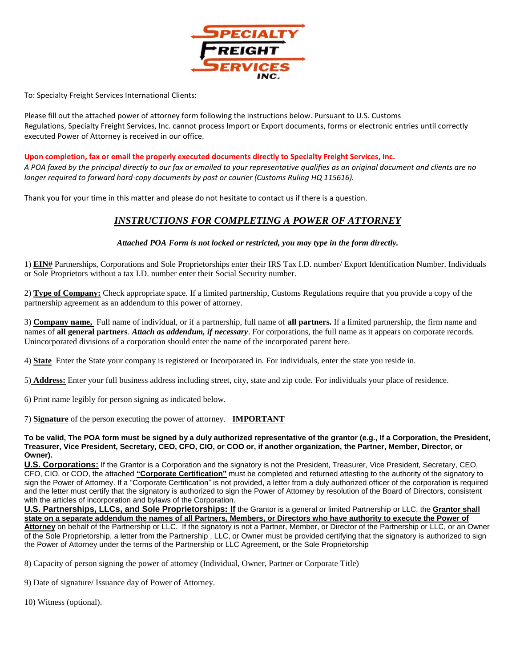

To: Specialty Freight Services International Clients:

Please fill out the attached power of attorney form following the instructions below. Pursuant to U.S. Customs Regulations, Specialty Freight Services, Inc. cannot process Import or Export documents, forms or electronic entries until correctly executed Power of Attorney is received in our office.

**Upon completion, fax or email the properly executed documents directly to Specialty Freight Services, Inc.**  *A POA faxed by the principal directly to our fax or emailed to your representative qualifies as an original document and clients are no longer required to forward hard-copy documents by post or courier (Customs Ruling HQ 115616).*

Thank you for your time in this matter and please do not hesitate to contact us if there is a question.

## *INSTRUCTIONS FOR COMPLETING A POWER OF ATTORNEY*

## *Attached POA Form is not locked or restricted, you may type in the form directly.*

1) **EIN#** Partnerships, Corporations and Sole Proprietorships enter their IRS Tax I.D. number/ Export Identification Number. Individuals or Sole Proprietors without a tax I.D. number enter their Social Security number.

2) **Type of Company:** Check appropriate space. If a limited partnership, Customs Regulations require that you provide a copy of the partnership agreement as an addendum to this power of attorney.

3) **Company name,** Full name of individual, or if a partnership, full name of **all partners.** If a limited partnership, the firm name and names of **all general partners**. *Attach as addendum, if necessary*. For corporations, the full name as it appears on corporate records. Unincorporated divisions of a corporation should enter the name of the incorporated parent here.

4) **State** Enter the State your company is registered or Incorporated in. For individuals, enter the state you reside in.

5) **Address:** Enter your full business address including street, city, state and zip code. For individuals your place of residence.

6) Print name legibly for person signing as indicated below.

7) **Signature** of the person executing the power of attorney. **IMPORTANT**

**To be valid, The POA form must be signed by a duly authorized representative of the grantor (e.g., If a Corporation, the President, Treasurer, Vice President, Secretary, CEO, CFO, CIO, or COO or, if another organization, the Partner, Member, Director, or Owner).**

**U.S. Corporations:** If the Grantor is a Corporation and the signatory is not the President, Treasurer, Vice President, Secretary, CEO, CFO, CIO, or COO, the attached **"Corporate Certification"** must be completed and returned attesting to the authority of the signatory to sign the Power of Attorney. If a "Corporate Certification" is not provided, a letter from a duly authorized officer of the corporation is required and the letter must certify that the signatory is authorized to sign the Power of Attorney by resolution of the Board of Directors, consistent with the articles of incorporation and bylaws of the Corporation.

**U.S. Partnerships, LLCs, and Sole Proprietorships: If** the Grantor is a general or limited Partnership or LLC, the **Grantor shall state on a separate addendum the names of all Partners, Members, or Directors who have authority to execute the Power of Attorney** on behalf of the Partnership or LLC. If the signatory is not a Partner, Member, or Director of the Partnership or LLC, or an Owner of the Sole Proprietorship, a letter from the Partnership , LLC, or Owner must be provided certifying that the signatory is authorized to sign the Power of Attorney under the terms of the Partnership or LLC Agreement, or the Sole Proprietorship

8) Capacity of person signing the power of attorney (Individual, Owner, Partner or Corporate Title)

9) Date of signature/ Issuance day of Power of Attorney.

10) Witness (optional).